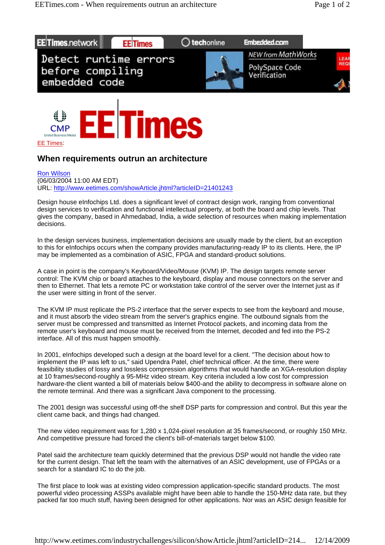



CMP

## **When requirements outrun an architecture**

Ron Wilson (06/03/2004 11:00 AM EDT) URL: http://www.eetimes.com/showArticle.jhtml?articleID=21401243

Design house eInfochips Ltd. does a significant level of contract design work, ranging from conventional design services to verification and functional intellectual property, at both the board and chip levels. That gives the company, based in Ahmedabad, India, a wide selection of resources when making implementation decisions.

In the design services business, implementation decisions are usually made by the client, but an exception to this for eInfochips occurs when the company provides manufacturing-ready IP to its clients. Here, the IP may be implemented as a combination of ASIC, FPGA and standard-product solutions.

A case in point is the company's Keyboard/Video/Mouse (KVM) IP. The design targets remote server control: The KVM chip or board attaches to the keyboard, display and mouse connectors on the server and then to Ethernet. That lets a remote PC or workstation take control of the server over the Internet just as if the user were sitting in front of the server.

The KVM IP must replicate the PS-2 interface that the server expects to see from the keyboard and mouse, and it must absorb the video stream from the server's graphics engine. The outbound signals from the server must be compressed and transmitted as Internet Protocol packets, and incoming data from the remote user's keyboard and mouse must be received from the Internet, decoded and fed into the PS-2 interface. All of this must happen smoothly.

In 2001, eInfochips developed such a design at the board level for a client. "The decision about how to implement the IP was left to us," said Upendra Patel, chief technical officer. At the time, there were feasibility studies of lossy and lossless compression algorithms that would handle an XGA-resolution display at 10 frames/second-roughly a 95-MHz video stream. Key criteria included a low cost for compression hardware-the client wanted a bill of materials below \$400-and the ability to decompress in software alone on the remote terminal. And there was a significant Java component to the processing.

The 2001 design was successful using off-the shelf DSP parts for compression and control. But this year the client came back, and things had changed.

The new video requirement was for 1,280 x 1,024-pixel resolution at 35 frames/second, or roughly 150 MHz. And competitive pressure had forced the client's bill-of-materials target below \$100.

Patel said the architecture team quickly determined that the previous DSP would not handle the video rate for the current design. That left the team with the alternatives of an ASIC development, use of FPGAs or a search for a standard IC to do the job.

The first place to look was at existing video compression application-specific standard products. The most powerful video processing ASSPs available might have been able to handle the 150-MHz data rate, but they packed far too much stuff, having been designed for other applications. Nor was an ASIC design feasible for